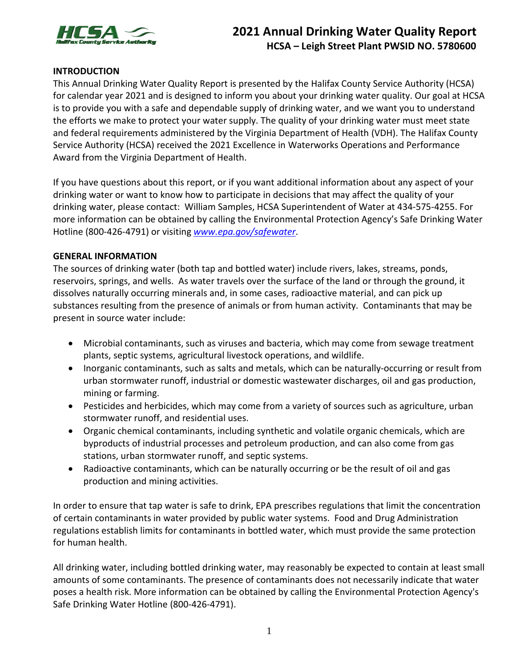

# **2021 Annual Drinking Water Quality Report HCSA – Leigh Street Plant PWSID NO. 5780600**

## **INTRODUCTION**

This Annual Drinking Water Quality Report is presented by the Halifax County Service Authority (HCSA) for calendar year 2021 and is designed to inform you about your drinking water quality. Our goal at HCSA is to provide you with a safe and dependable supply of drinking water, and we want you to understand the efforts we make to protect your water supply. The quality of your drinking water must meet state and federal requirements administered by the Virginia Department of Health (VDH). The Halifax County Service Authority (HCSA) received the 2021 Excellence in Waterworks Operations and Performance Award from the Virginia Department of Health.

If you have questions about this report, or if you want additional information about any aspect of your drinking water or want to know how to participate in decisions that may affect the quality of your drinking water, please contact: William Samples, HCSA Superintendent of Water at 434-575-4255. For more information can be obtained by calling the Environmental Protection Agency's Safe Drinking Water Hotline (800-426-4791) or visiting *www.epa.gov/safewater*.

## **GENERAL INFORMATION**

The sources of drinking water (both tap and bottled water) include rivers, lakes, streams, ponds, reservoirs, springs, and wells. As water travels over the surface of the land or through the ground, it dissolves naturally occurring minerals and, in some cases, radioactive material, and can pick up substances resulting from the presence of animals or from human activity. Contaminants that may be present in source water include:

- Microbial contaminants, such as viruses and bacteria, which may come from sewage treatment plants, septic systems, agricultural livestock operations, and wildlife.
- Inorganic contaminants, such as salts and metals, which can be naturally-occurring or result from urban stormwater runoff, industrial or domestic wastewater discharges, oil and gas production, mining or farming.
- Pesticides and herbicides, which may come from a variety of sources such as agriculture, urban stormwater runoff, and residential uses.
- Organic chemical contaminants, including synthetic and volatile organic chemicals, which are byproducts of industrial processes and petroleum production, and can also come from gas stations, urban stormwater runoff, and septic systems.
- Radioactive contaminants, which can be naturally occurring or be the result of oil and gas production and mining activities.

In order to ensure that tap water is safe to drink, EPA prescribes regulations that limit the concentration of certain contaminants in water provided by public water systems. Food and Drug Administration regulations establish limits for contaminants in bottled water, which must provide the same protection for human health.

All drinking water, including bottled drinking water, may reasonably be expected to contain at least small amounts of some contaminants. The presence of contaminants does not necessarily indicate that water poses a health risk. More information can be obtained by calling the Environmental Protection Agency's Safe Drinking Water Hotline (800-426-4791).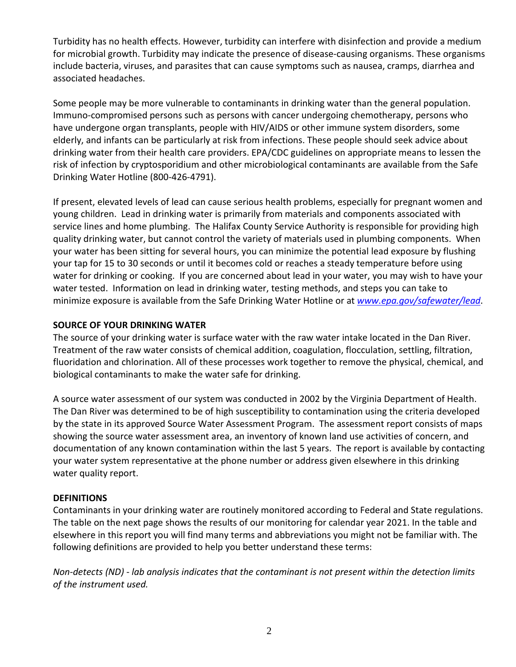Turbidity has no health effects. However, turbidity can interfere with disinfection and provide a medium for microbial growth. Turbidity may indicate the presence of disease-causing organisms. These organisms include bacteria, viruses, and parasites that can cause symptoms such as nausea, cramps, diarrhea and associated headaches.

Some people may be more vulnerable to contaminants in drinking water than the general population. Immuno-compromised persons such as persons with cancer undergoing chemotherapy, persons who have undergone organ transplants, people with HIV/AIDS or other immune system disorders, some elderly, and infants can be particularly at risk from infections. These people should seek advice about drinking water from their health care providers. EPA/CDC guidelines on appropriate means to lessen the risk of infection by cryptosporidium and other microbiological contaminants are available from the Safe Drinking Water Hotline (800-426-4791).

If present, elevated levels of lead can cause serious health problems, especially for pregnant women and young children. Lead in drinking water is primarily from materials and components associated with service lines and home plumbing. The Halifax County Service Authority is responsible for providing high quality drinking water, but cannot control the variety of materials used in plumbing components. When your water has been sitting for several hours, you can minimize the potential lead exposure by flushing your tap for 15 to 30 seconds or until it becomes cold or reaches a steady temperature before using water for drinking or cooking. If you are concerned about lead in your water, you may wish to have your water tested. Information on lead in drinking water, testing methods, and steps you can take to minimize exposure is available from the Safe Drinking Water Hotline or at *[www.epa.gov/safewater/lead](http://www.epa.gov/safewater/lead)*.

## **SOURCE OF YOUR DRINKING WATER**

The source of your drinking water is surface water with the raw water intake located in the Dan River. Treatment of the raw water consists of chemical addition, coagulation, flocculation, settling, filtration, fluoridation and chlorination. All of these processes work together to remove the physical, chemical, and biological contaminants to make the water safe for drinking.

A source water assessment of our system was conducted in 2002 by the Virginia Department of Health. The Dan River was determined to be of high susceptibility to contamination using the criteria developed by the state in its approved Source Water Assessment Program. The assessment report consists of maps showing the source water assessment area, an inventory of known land use activities of concern, and documentation of any known contamination within the last 5 years. The report is available by contacting your water system representative at the phone number or address given elsewhere in this drinking water quality report.

# **DEFINITIONS**

Contaminants in your drinking water are routinely monitored according to Federal and State regulations. The table on the next page shows the results of our monitoring for calendar year 2021. In the table and elsewhere in this report you will find many terms and abbreviations you might not be familiar with. The following definitions are provided to help you better understand these terms:

*Non-detects (ND) - lab analysis indicates that the contaminant is not present within the detection limits of the instrument used.*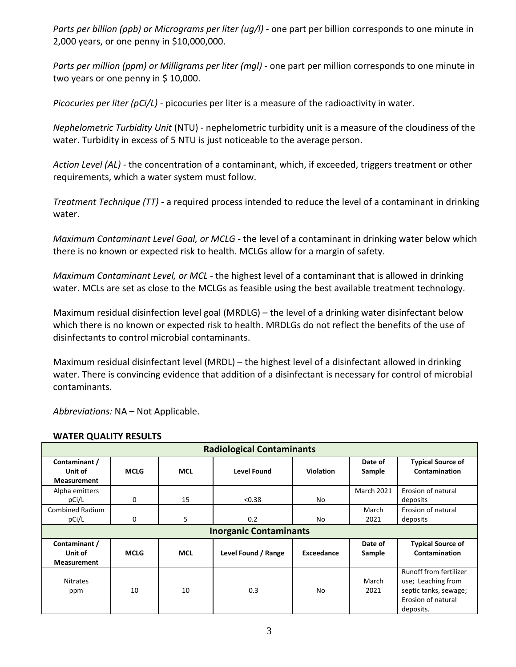*Parts per billion (ppb) or Micrograms per liter (ug/l) -* one part per billion corresponds to one minute in 2,000 years, or one penny in \$10,000,000.

*Parts per million (ppm) or Milligrams per liter (mgl)* - one part per million corresponds to one minute in two years or one penny in \$10,000.

*Picocuries per liter (pCi/L)* - picocuries per liter is a measure of the radioactivity in water.

*Nephelometric Turbidity Unit* (NTU) - nephelometric turbidity unit is a measure of the cloudiness of the water. Turbidity in excess of 5 NTU is just noticeable to the average person.

*Action Level (AL)* - the concentration of a contaminant, which, if exceeded, triggers treatment or other requirements, which a water system must follow.

*Treatment Technique (TT)* - a required process intended to reduce the level of a contaminant in drinking water.

*Maximum Contaminant Level Goal, or MCLG* - the level of a contaminant in drinking water below which there is no known or expected risk to health. MCLGs allow for a margin of safety.

*Maximum Contaminant Level, or MCL* - the highest level of a contaminant that is allowed in drinking water. MCLs are set as close to the MCLGs as feasible using the best available treatment technology.

Maximum residual disinfection level goal (MRDLG) – the level of a drinking water disinfectant below which there is no known or expected risk to health. MRDLGs do not reflect the benefits of the use of disinfectants to control microbial contaminants.

Maximum residual disinfectant level (MRDL) – the highest level of a disinfectant allowed in drinking water. There is convincing evidence that addition of a disinfectant is necessary for control of microbial contaminants.

*Abbreviations:* NA – Not Applicable.

| <b>Radiological Contaminants</b>               |             |            |                     |                  |                   |                                                                                                                 |  |  |  |
|------------------------------------------------|-------------|------------|---------------------|------------------|-------------------|-----------------------------------------------------------------------------------------------------------------|--|--|--|
| Contaminant /<br>Unit of<br><b>Measurement</b> | <b>MCLG</b> | <b>MCL</b> | <b>Level Found</b>  | <b>Violation</b> | Date of<br>Sample | <b>Typical Source of</b><br>Contamination                                                                       |  |  |  |
| Alpha emitters<br>pCi/L                        | 0           | 15         | < 0.38              | No               | <b>March 2021</b> | Erosion of natural<br>deposits                                                                                  |  |  |  |
| <b>Combined Radium</b><br>pCi/L                | 0           | 5          | 0.2                 | No               | March<br>2021     | Erosion of natural<br>deposits                                                                                  |  |  |  |
| <b>Inorganic Contaminants</b>                  |             |            |                     |                  |                   |                                                                                                                 |  |  |  |
| Contaminant /<br>Unit of<br><b>Measurement</b> | <b>MCLG</b> | <b>MCL</b> | Level Found / Range | Exceedance       | Date of<br>Sample | <b>Typical Source of</b><br>Contamination                                                                       |  |  |  |
| <b>Nitrates</b><br>ppm                         | 10          | 10         | 0.3                 | No               | March<br>2021     | <b>Runoff from fertilizer</b><br>use; Leaching from<br>septic tanks, sewage;<br>Erosion of natural<br>deposits. |  |  |  |

# **WATER QUALITY RESULTS**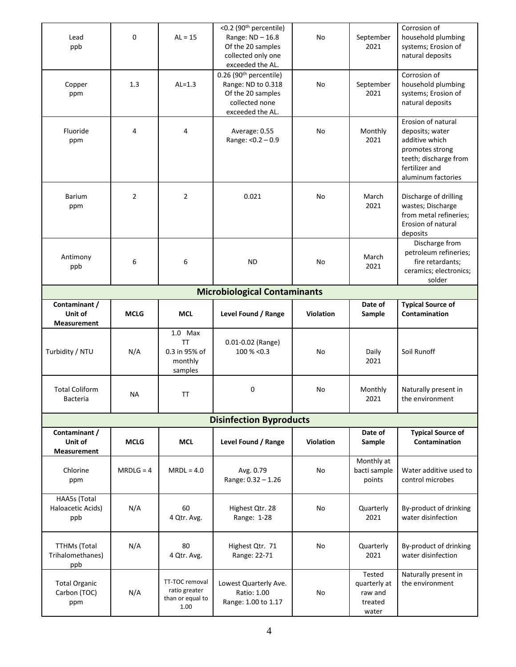| <b>Total Organic</b><br>Carbon (TOC)<br>ppm    | N/A            | TT-TOC removal<br>ratio greater<br>than or equal to<br>1.00   | Lowest Quarterly Ave.<br>Ratio: 1.00<br>Range: 1.00 to 1.17                                                           | No               | quarterly at<br>raw and<br>treated<br>water | the environment                                                                                                                             |  |  |  |  |
|------------------------------------------------|----------------|---------------------------------------------------------------|-----------------------------------------------------------------------------------------------------------------------|------------------|---------------------------------------------|---------------------------------------------------------------------------------------------------------------------------------------------|--|--|--|--|
| <b>TTHMs (Total</b><br>Trihalomethanes)<br>ppb | N/A            | 80<br>4 Qtr. Avg.                                             | Highest Qtr. 71<br>Range: 22-71                                                                                       | No               | Quarterly<br>2021<br>Tested                 | By-product of drinking<br>water disinfection<br>Naturally present in                                                                        |  |  |  |  |
| HAA5s (Total<br>Haloacetic Acids)<br>ppb       | N/A            | 60<br>4 Qtr. Avg.                                             | Highest Qtr. 28<br>Range: 1-28                                                                                        | No               | Quarterly<br>2021                           | By-product of drinking<br>water disinfection                                                                                                |  |  |  |  |
| Chlorine<br>ppm                                | $MRDLG = 4$    | $MRDL = 4.0$                                                  | Avg. 0.79<br>Range: 0.32 - 1.26                                                                                       | No               | Monthly at<br>bacti sample<br>points        | Water additive used to<br>control microbes                                                                                                  |  |  |  |  |
| Contaminant /<br>Unit of<br><b>Measurement</b> | <b>MCLG</b>    | <b>MCL</b>                                                    | Level Found / Range                                                                                                   | <b>Violation</b> | Date of<br>Sample                           | <b>Typical Source of</b><br>Contamination                                                                                                   |  |  |  |  |
|                                                |                |                                                               | <b>Disinfection Byproducts</b>                                                                                        |                  |                                             |                                                                                                                                             |  |  |  |  |
| <b>Total Coliform</b><br><b>Bacteria</b>       | NА             | ΤT                                                            | 0                                                                                                                     | No               | Monthly<br>2021                             | Naturally present in<br>the environment                                                                                                     |  |  |  |  |
| Turbidity / NTU                                | N/A            | $1.0$ Max<br><b>TT</b><br>0.3 in 95% of<br>monthly<br>samples | 0.01-0.02 (Range)<br>$100\% < 0.3$                                                                                    | No               | Daily<br>2021                               | Soil Runoff                                                                                                                                 |  |  |  |  |
| Contaminant /<br>Unit of<br><b>Measurement</b> | <b>MCLG</b>    | <b>MCL</b>                                                    | Level Found / Range                                                                                                   | Violation        | Date of<br>Sample                           | <b>Typical Source of</b><br>Contamination                                                                                                   |  |  |  |  |
| <b>Microbiological Contaminants</b>            |                |                                                               |                                                                                                                       |                  |                                             |                                                                                                                                             |  |  |  |  |
| Antimony<br>ppb                                | 6              | 6                                                             | <b>ND</b>                                                                                                             | No               | March<br>2021                               | Discharge from<br>petroleum refineries;<br>fire retardants;<br>ceramics; electronics;<br>solder                                             |  |  |  |  |
| <b>Barium</b><br>ppm                           | $\overline{2}$ | $\overline{2}$                                                | 0.021                                                                                                                 | No               | March<br>2021                               | Discharge of drilling<br>wastes; Discharge<br>from metal refineries;<br>Erosion of natural<br>deposits                                      |  |  |  |  |
| Fluoride<br>ppm                                | 4              | 4                                                             | Average: 0.55<br>Range: < 0.2 - 0.9                                                                                   | No               | Monthly<br>2021                             | Erosion of natural<br>deposits; water<br>additive which<br>promotes strong<br>teeth; discharge from<br>fertilizer and<br>aluminum factories |  |  |  |  |
| Copper<br>ppm                                  | 1.3            | $AL=1.3$                                                      | 0.26 (90 <sup>th</sup> percentile)<br>Range: ND to 0.318<br>Of the 20 samples<br>collected none<br>exceeded the AL.   | No               | September<br>2021                           | Corrosion of<br>household plumbing<br>systems; Erosion of<br>natural deposits                                                               |  |  |  |  |
| Lead<br>ppb                                    | 0              | $AL = 15$                                                     | <0.2 (90 <sup>th</sup> percentile)<br>Range: ND - 16.8<br>Of the 20 samples<br>collected only one<br>exceeded the AL. | No               | September<br>2021                           | Corrosion of<br>household plumbing<br>systems; Erosion of<br>natural deposits                                                               |  |  |  |  |